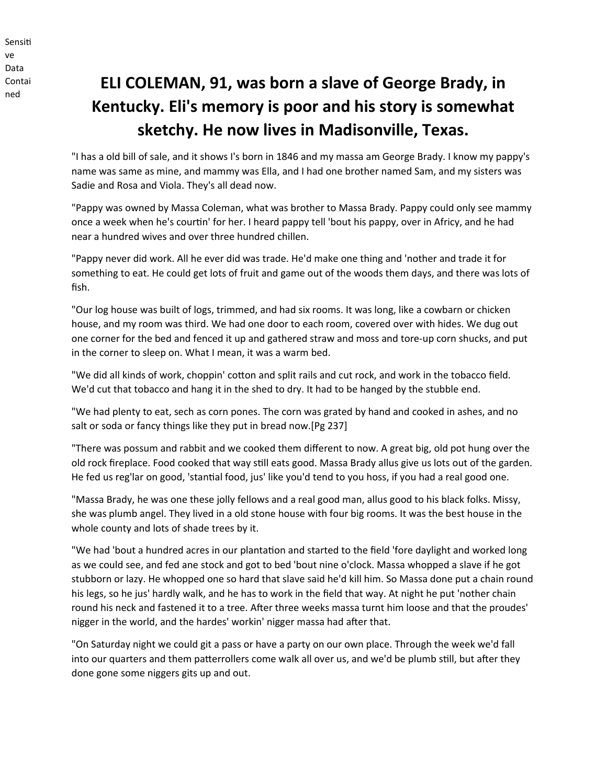Sensiti ve Data Contai ned

## **ELI COLEMAN, 91, was born a slave of George Brady, in Kentucky. Eli's memory is poor and his story is somewhat sketchy. He now lives in Madisonville, Texas.**

"I has a old bill of sale, and it shows I's born in 1846 and my massa am George Brady. I know my pappy's name was same as mine, and mammy was Ella, and I had one brother named Sam, and my sisters was Sadie and Rosa and Viola. They's all dead now.

"Pappy was owned by Massa Coleman, what was brother to Massa Brady. Pappy could only see mammy once a week when he's courtin' for her. I heard pappy tell 'bout his pappy, over in Africy, and he had near a hundred wives and over three hundred chillen.

"Pappy never did work. All he ever did was trade. He'd make one thing and 'nother and trade it for something to eat. He could get lots of fruit and game out of the woods them days, and there was lots of fish.

"Our log house was built of logs, trimmed, and had six rooms. It was long, like a cowbarn or chicken house, and my room was third. We had one door to each room, covered over with hides. We dug out one corner for the bed and fenced it up and gathered straw and moss and tore-up corn shucks, and put in the corner to sleep on. What I mean, it was a warm bed.

"We did all kinds of work, choppin' cotton and split rails and cut rock, and work in the tobacco field. We'd cut that tobacco and hang it in the shed to dry. It had to be hanged by the stubble end.

"We had plenty to eat, sech as corn pones. The corn was grated by hand and cooked in ashes, and no salt or soda or fancy things like they put in bread now.[Pg 237]

"There was possum and rabbit and we cooked them different to now. A great big, old pot hung over the old rock fireplace. Food cooked that way still eats good. Massa Brady allus give us lots out of the garden. He fed us reg'lar on good, 'stantial food, jus' like you'd tend to you hoss, if you had a real good one.

"Massa Brady, he was one these jolly fellows and a real good man, allus good to his black folks. Missy, she was plumb angel. They lived in a old stone house with four big rooms. It was the best house in the whole county and lots of shade trees by it.

"We had 'bout a hundred acres in our plantation and started to the field 'fore daylight and worked long as we could see, and fed ane stock and got to bed 'bout nine o'clock. Massa whopped a slave if he got stubborn or lazy. He whopped one so hard that slave said he'd kill him. So Massa done put a chain round his legs, so he jus' hardly walk, and he has to work in the field that way. At night he put 'nother chain round his neck and fastened it to a tree. After three weeks massa turnt him loose and that the proudes' nigger in the world, and the hardes' workin' nigger massa had after that.

"On Saturday night we could git a pass or have a party on our own place. Through the week we'd fall into our quarters and them patterrollers come walk all over us, and we'd be plumb still, but after they done gone some niggers gits up and out.